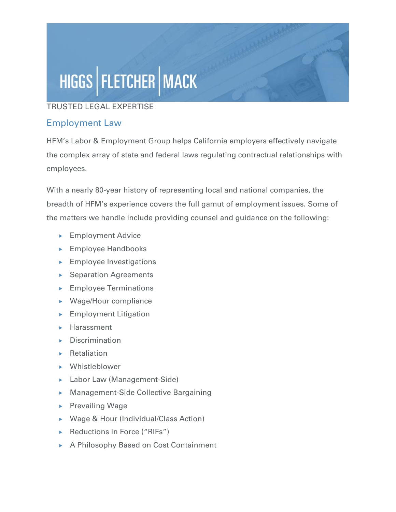## HIGGS | FLETCHER | MACK

## TRUSTED LEGAL EXPERTISE

## Employment Law

HFM's Labor & Employment Group helps California employers effectively navigate the complex array of state and federal laws regulating contractual relationships with employees.

With a nearly 80-year history of representing local and national companies, the breadth of HFM's experience covers the full gamut of employment issues. Some of the matters we handle include providing counsel and guidance on the following:

- **Employment Advice**
- **Employee Handbooks**
- **Employee Investigations**
- ▶ Separation Agreements
- **Employee Terminations**
- Wage/Hour compliance
- $\blacktriangleright$  Employment Litigation
- **Harassment**
- $\triangleright$  Discrimination
- $\blacktriangleright$  Retaliation
- Whistleblower
- ▶ Labor Law (Management-Side)
- Management-Side Collective Bargaining
- $\triangleright$  Prevailing Wage
- ▶ Wage & Hour (Individual/Class Action)
- ▶ Reductions in Force ("RIFs")
- ▶ A Philosophy Based on Cost Containment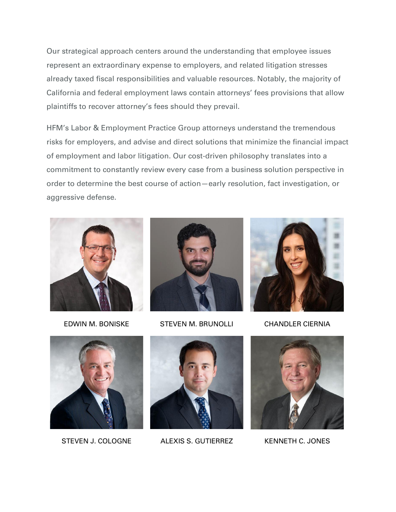Our strategical approach centers around the understanding that employee issues represent an extraordinary expense to employers, and related litigation stresses already taxed fiscal responsibilities and valuable resources. Notably, the majority of California and federal employment laws contain attorneys' fees provisions that allow plaintiffs to recover attorney's fees should they prevail.

HFM's Labor & Employment Practice Group attorneys understand the tremendous risks for employers, and advise and direct solutions that minimize the financial impact of employment and labor litigation. Our cost-driven philosophy translates into a commitment to constantly review every case from a business solution perspective in order to determine the best course of action—early resolution, fact investigation, or aggressive defense.





EDWIN M. BONISKE STEVEN M. BRUNOLLI CHANDLER CIERNIA







STEVEN J. COLOGNE ALEXIS S. GUTIERREZ KENNETH C. JONES